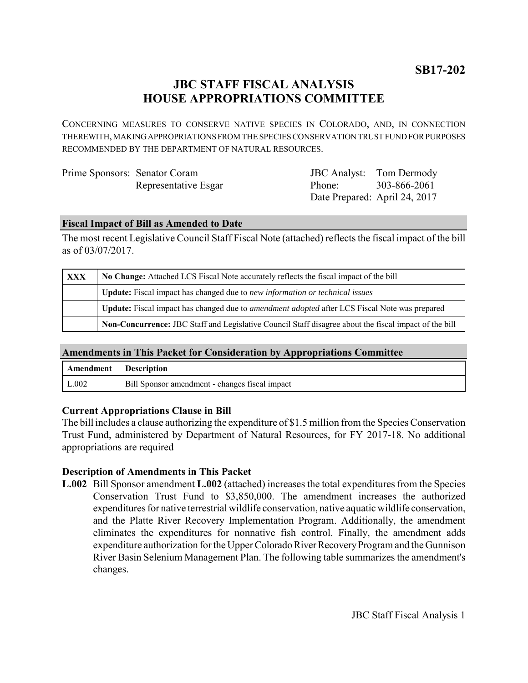**SB17-202**

# **JBC STAFF FISCAL ANALYSIS HOUSE APPROPRIATIONS COMMITTEE**

CONCERNING MEASURES TO CONSERVE NATIVE SPECIES IN COLORADO, AND, IN CONNECTION THEREWITH, MAKING APPROPRIATIONS FROM THE SPECIES CONSERVATION TRUST FUND FOR PURPOSES RECOMMENDED BY THE DEPARTMENT OF NATURAL RESOURCES.

| Prime Sponsors: Senator Coram |                      |  |
|-------------------------------|----------------------|--|
|                               | Representative Esgar |  |

JBC Analyst: Tom Dermody Phone: Date Prepared: April 24, 2017 303-866-2061

### **Fiscal Impact of Bill as Amended to Date**

The most recent Legislative Council Staff Fiscal Note (attached) reflects the fiscal impact of the bill as of 03/07/2017.

| <b>XXX</b> | No Change: Attached LCS Fiscal Note accurately reflects the fiscal impact of the bill                        |  |  |
|------------|--------------------------------------------------------------------------------------------------------------|--|--|
|            | <b>Update:</b> Fiscal impact has changed due to new information or technical issues                          |  |  |
|            | <b>Update:</b> Fiscal impact has changed due to <i>amendment adopted</i> after LCS Fiscal Note was prepared  |  |  |
|            | <b>Non-Concurrence:</b> JBC Staff and Legislative Council Staff disagree about the fiscal impact of the bill |  |  |

## **Amendments in This Packet for Consideration by Appropriations Committee**

| Amendment Description |                                                |
|-----------------------|------------------------------------------------|
| L.002                 | Bill Sponsor amendment - changes fiscal impact |

#### **Current Appropriations Clause in Bill**

The bill includes a clause authorizing the expenditure of \$1.5 million from the Species Conservation Trust Fund, administered by Department of Natural Resources, for FY 2017-18. No additional appropriations are required

#### **Description of Amendments in This Packet**

**L.002** Bill Sponsor amendment **L.002** (attached) increases the total expenditures from the Species Conservation Trust Fund to \$3,850,000. The amendment increases the authorized expenditures for native terrestrial wildlife conservation, native aquatic wildlife conservation, and the Platte River Recovery Implementation Program. Additionally, the amendment eliminates the expenditures for nonnative fish control. Finally, the amendment adds expenditure authorization for the Upper Colorado River Recovery Program and the Gunnison River Basin Selenium Management Plan. The following table summarizes the amendment's changes.